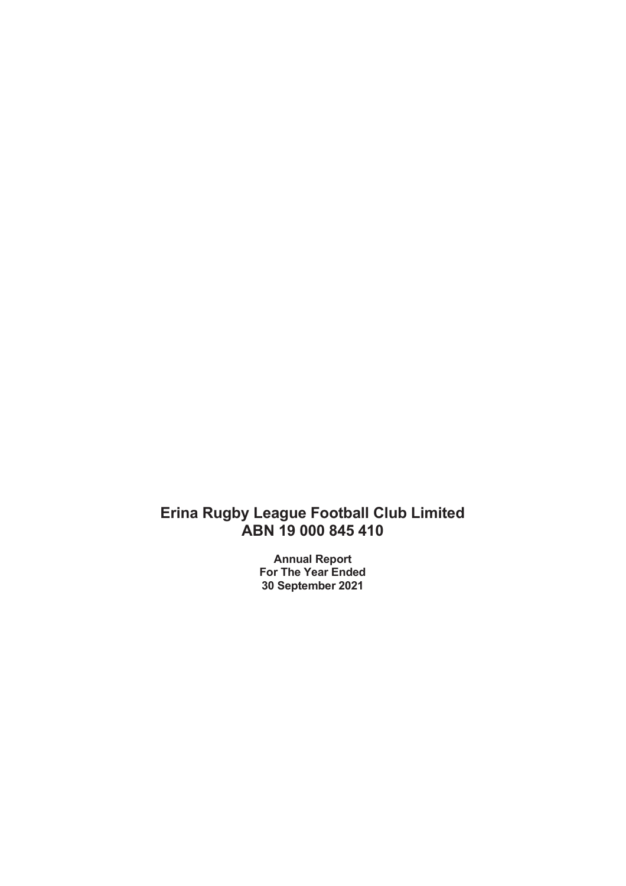Annual Report For The Year Ended 30 September 2021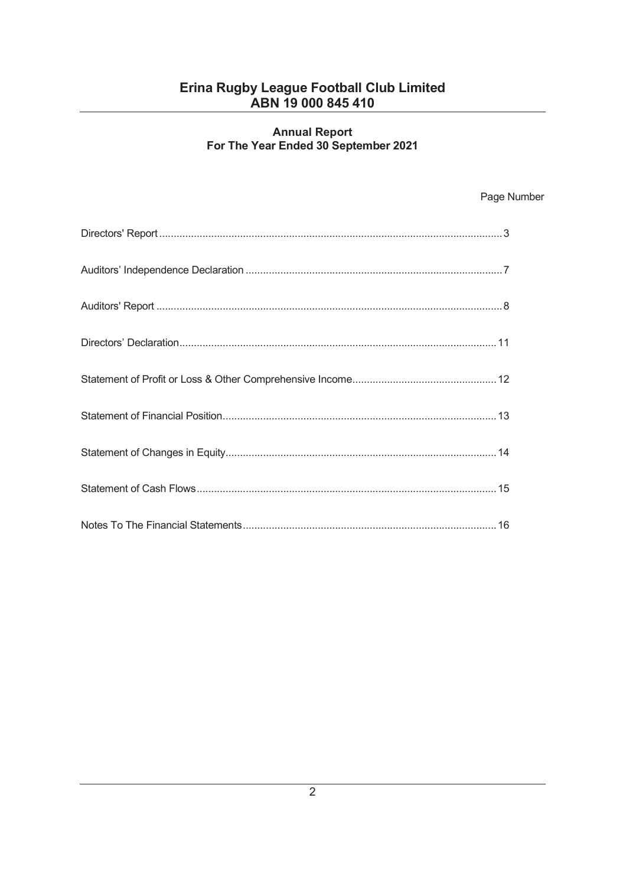# **Annual Report** For The Year Ended 30 September 2021

#### Page Number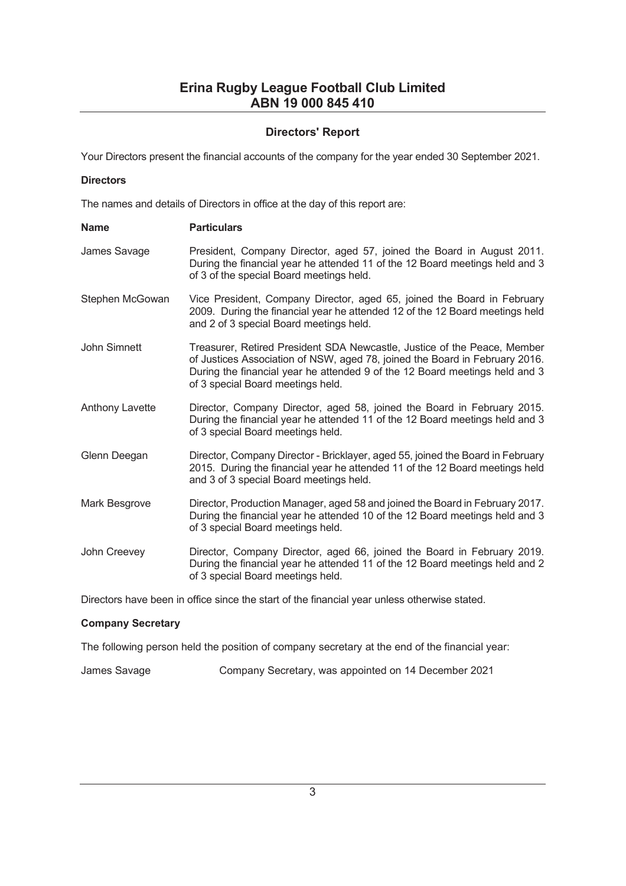Your Directors present the financial accounts of the company for the year ended 30 September 2021.

**Directors** 

The names and details of Directors in office at the day of this report are:

| <b>Name</b>     | <b>Particulars</b>                                                                                                                                                                                                                                                          |
|-----------------|-----------------------------------------------------------------------------------------------------------------------------------------------------------------------------------------------------------------------------------------------------------------------------|
| James Savage    | President, Company Director, aged 57, joined the Board in August 2011.<br>During the financial year he attended 11 of the 12 Board meetings held and 3<br>of 3 of the special Board meetings held.                                                                          |
| Stephen McGowan | Vice President, Company Director, aged 65, joined the Board in February<br>2009. During the financial year he attended 12 of the 12 Board meetings held<br>and 2 of 3 special Board meetings held.                                                                          |
| John Simnett    | Treasurer, Retired President SDA Newcastle, Justice of the Peace, Member<br>of Justices Association of NSW, aged 78, joined the Board in February 2016.<br>During the financial year he attended 9 of the 12 Board meetings held and 3<br>of 3 special Board meetings held. |
| Anthony Lavette | Director, Company Director, aged 58, joined the Board in February 2015.<br>During the financial year he attended 11 of the 12 Board meetings held and 3<br>of 3 special Board meetings held.                                                                                |
| Glenn Deegan    | Director, Company Director - Bricklayer, aged 55, joined the Board in February<br>2015. During the financial year he attended 11 of the 12 Board meetings held<br>and 3 of 3 special Board meetings held.                                                                   |
| Mark Besgrove   | Director, Production Manager, aged 58 and joined the Board in February 2017.<br>During the financial year he attended 10 of the 12 Board meetings held and 3<br>of 3 special Board meetings held.                                                                           |
| John Creevey    | Director, Company Director, aged 66, joined the Board in February 2019.<br>During the financial year he attended 11 of the 12 Board meetings held and 2<br>of 3 special Board meetings held.                                                                                |

Directors have been in office since the start of the financial year unless otherwise stated.

#### Company Secretary

The following person held the position of company secretary at the end of the financial year:

James Savage Company Secretary, was appointed on 14 December 2021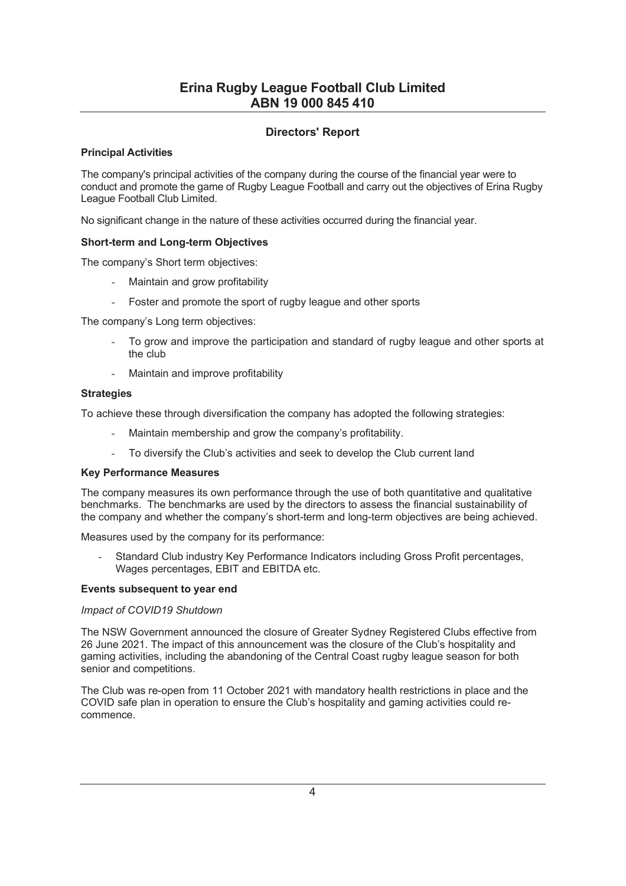#### Principal Activities

The company's principal activities of the company during the course of the financial year were to conduct and promote the game of Rugby League Football and carry out the objectives of Erina Rugby League Football Club Limited.

No significant change in the nature of these activities occurred during the financial year.

#### Short-term and Long-term Objectives

The company's Short term objectives:

- Maintain and grow profitability
- Foster and promote the sport of rugby league and other sports

The company's Long term objectives:

- To grow and improve the participation and standard of rugby league and other sports at the club
- Maintain and improve profitability

#### **Strategies**

To achieve these through diversification the company has adopted the following strategies:

- Maintain membership and grow the company's profitability.
- To diversify the Club's activities and seek to develop the Club current land

#### Key Performance Measures

The company measures its own performance through the use of both quantitative and qualitative benchmarks. The benchmarks are used by the directors to assess the financial sustainability of the company and whether the companyís short-term and long-term objectives are being achieved.

Measures used by the company for its performance:

Standard Club industry Key Performance Indicators including Gross Profit percentages, Wages percentages, EBIT and EBITDA etc.

#### Events subsequent to year end

#### Impact of COVID19 Shutdown

The NSW Government announced the closure of Greater Sydney Registered Clubs effective from 26 June 2021. The impact of this announcement was the closure of the Club's hospitality and gaming activities, including the abandoning of the Central Coast rugby league season for both senior and competitions.

The Club was re-open from 11 October 2021 with mandatory health restrictions in place and the COVID safe plan in operation to ensure the Clubís hospitality and gaming activities could recommence.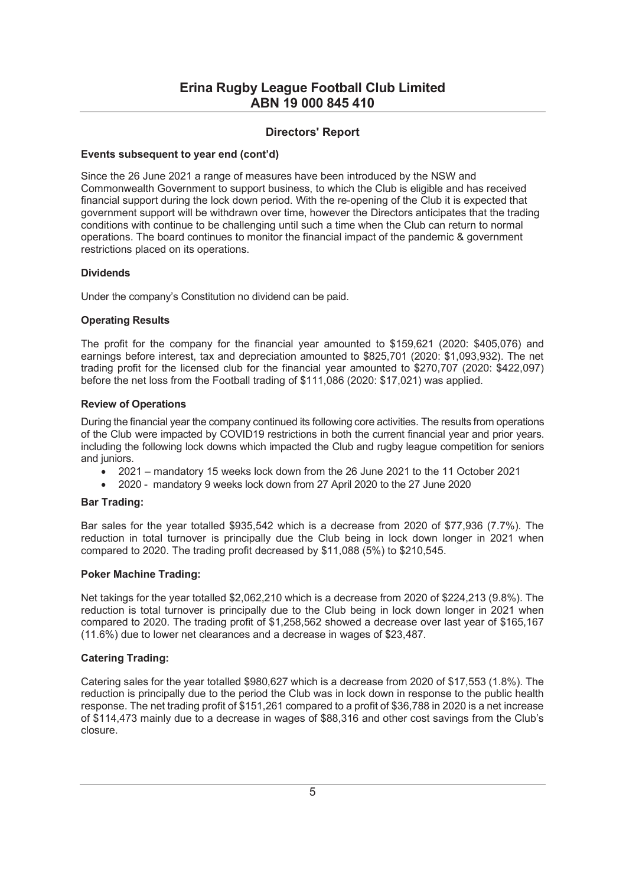#### Events subsequent to year end (cont'd)

Since the 26 June 2021 a range of measures have been introduced by the NSW and Commonwealth Government to support business, to which the Club is eligible and has received financial support during the lock down period. With the re-opening of the Club it is expected that government support will be withdrawn over time, however the Directors anticipates that the trading conditions with continue to be challenging until such a time when the Club can return to normal operations. The board continues to monitor the financial impact of the pandemic & government restrictions placed on its operations.

#### Dividends

Under the companyís Constitution no dividend can be paid.

#### Operating Results

The profit for the company for the financial year amounted to \$159,621 (2020: \$405,076) and earnings before interest, tax and depreciation amounted to \$825,701 (2020: \$1,093,932). The net trading profit for the licensed club for the financial year amounted to \$270,707 (2020: \$422,097) before the net loss from the Football trading of \$111,086 (2020: \$17,021) was applied.

#### Review of Operations

During the financial year the company continued its following core activities. The results from operations of the Club were impacted by COVID19 restrictions in both the current financial year and prior years. including the following lock downs which impacted the Club and rugby league competition for seniors and juniors.

- 2021 mandatory 15 weeks lock down from the 26 June 2021 to the 11 October 2021
- · 2020 mandatory 9 weeks lock down from 27 April 2020 to the 27 June 2020

#### Bar Trading:

Bar sales for the year totalled \$935,542 which is a decrease from 2020 of \$77,936 (7.7%). The reduction in total turnover is principally due the Club being in lock down longer in 2021 when compared to 2020. The trading profit decreased by \$11,088 (5%) to \$210,545.

#### Poker Machine Trading:

Net takings for the year totalled \$2,062,210 which is a decrease from 2020 of \$224,213 (9.8%). The reduction is total turnover is principally due to the Club being in lock down longer in 2021 when compared to 2020. The trading profit of \$1,258,562 showed a decrease over last year of \$165,167 (11.6%) due to lower net clearances and a decrease in wages of \$23,487.

#### Catering Trading:

Catering sales for the year totalled \$980,627 which is a decrease from 2020 of \$17,553 (1.8%). The reduction is principally due to the period the Club was in lock down in response to the public health response. The net trading profit of \$151,261 compared to a profit of \$36,788 in 2020 is a net increase of \$114,473 mainly due to a decrease in wages of \$88,316 and other cost savings from the Clubís closure.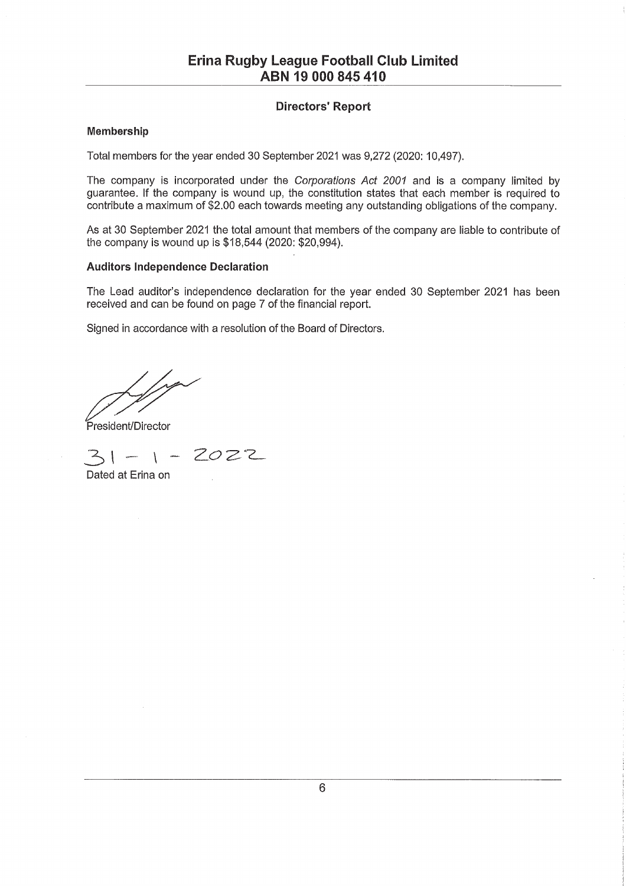#### Membership

Total members for the year ended 30 September 2021 was 9,272 (2020: 10,497).

The company is incorporated under the Corporations Act 2001 and is a company limited by quarantee. If the company is wound up, the constitution states that each member is required to contribute a maximum of \$2,00 each towards meeting any outstanding obligations of the company.

As at 30 September 2021 the total amount that members of the company are liable to contribute of the company is wound up is \$18,544 (2020: \$20,994).

#### **Auditors Independence Declaration**

The Lead auditor's independence declaration for the year ended 30 September 2021 has been received and can be found on page 7 of the financial report.

Signed in accordance with a resolution of the Board of Directors.

President/Director

 $1 - 2022$ 

Dated at Erina on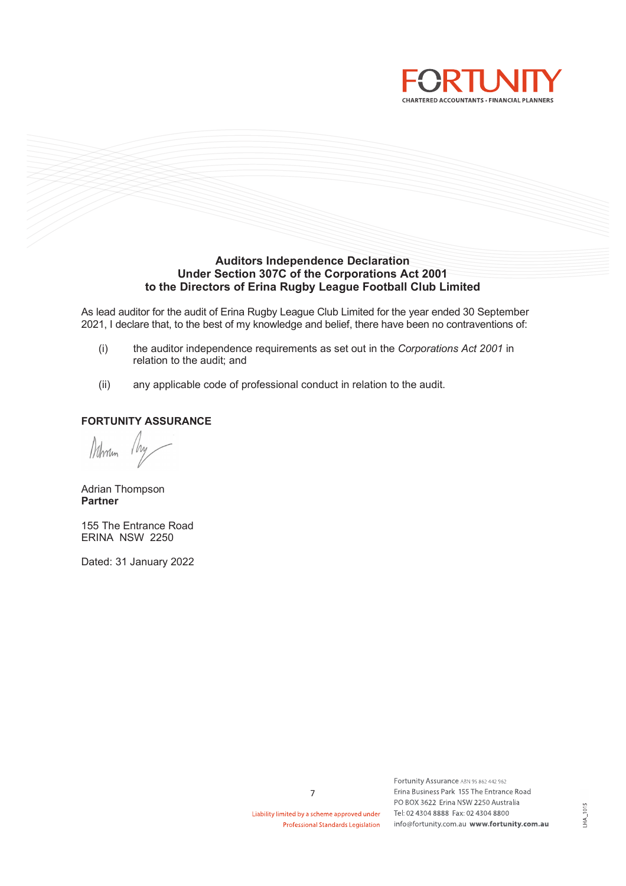



#### Auditors Independence Declaration Under Section 307C of the Corporations Act 2001 to the Directors of Erina Rugby League Football Club Limited

As lead auditor for the audit of Erina Rugby League Club Limited for the year ended 30 September 2021, I declare that, to the best of my knowledge and belief, there have been no contraventions of:

- (i) the auditor independence requirements as set out in the Corporations Act 2001 in relation to the audit; and
- (ii) any applicable code of professional conduct in relation to the audit.

## FORTUNITY ASSURANCE

Moran *l* 

Adrian Thompson Partner

155 The Entrance Road ERINA NSW 2250

Dated: 31 January 2022

Liability limited by a scheme approved under **Professional Standards Legislation**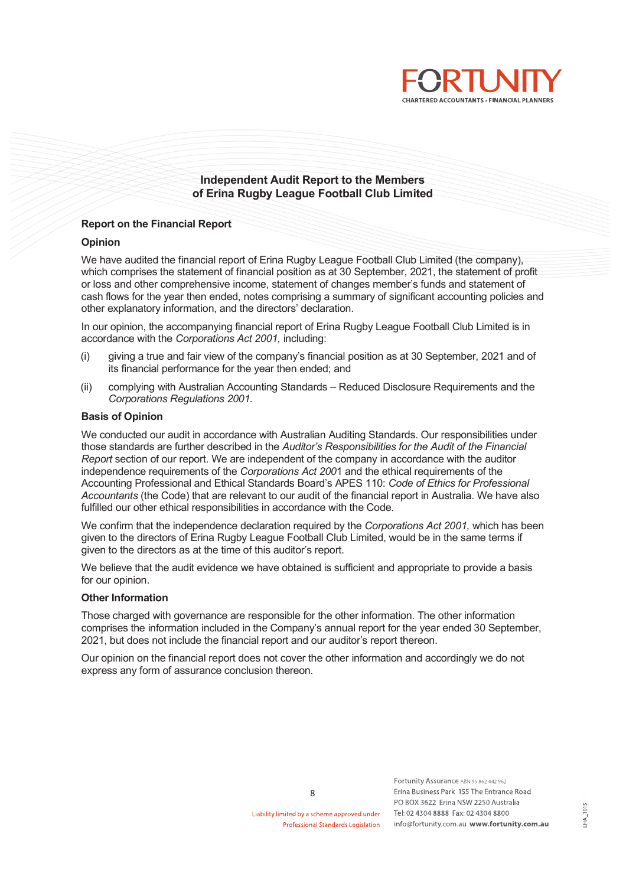

#### Independent Audit Report to the Members of Erina Rugby League Football Club Limited

#### Report on the Financial Report

#### Opinion

We have audited the financial report of Erina Rugby League Football Club Limited (the company), which comprises the statement of financial position as at 30 September, 2021, the statement of profit or loss and other comprehensive income, statement of changes memberís funds and statement of cash flows for the year then ended, notes comprising a summary of significant accounting policies and other explanatory information, and the directors' declaration.

In our opinion, the accompanying financial report of Erina Rugby League Football Club Limited is in accordance with the Corporations Act 2001, including:

- (i) giving a true and fair view of the companyís financial position as at 30 September, 2021 and of its financial performance for the year then ended; and
- (ii) complying with Australian Accounting Standards Reduced Disclosure Requirements and the Corporations Regulations 2001.

#### Basis of Opinion

We conducted our audit in accordance with Australian Auditing Standards. Our responsibilities under those standards are further described in the Auditor's Responsibilities for the Audit of the Financial Report section of our report. We are independent of the company in accordance with the auditor independence requirements of the Corporations Act 2001 and the ethical requirements of the Accounting Professional and Ethical Standards Board's APES 110: Code of Ethics for Professional Accountants (the Code) that are relevant to our audit of the financial report in Australia. We have also fulfilled our other ethical responsibilities in accordance with the Code.

We confirm that the independence declaration required by the Corporations Act 2001, which has been given to the directors of Erina Rugby League Football Club Limited, would be in the same terms if given to the directors as at the time of this auditor's report.

We believe that the audit evidence we have obtained is sufficient and appropriate to provide a basis for our opinion.

#### Other Information

Those charged with governance are responsible for the other information. The other information comprises the information included in the Companyís annual report for the year ended 30 September, 2021, but does not include the financial report and our auditor's report thereon.

Our opinion on the financial report does not cover the other information and accordingly we do not express any form of assurance conclusion thereon.

Liability limited by a scheme approved under **Professional Standards Legislation**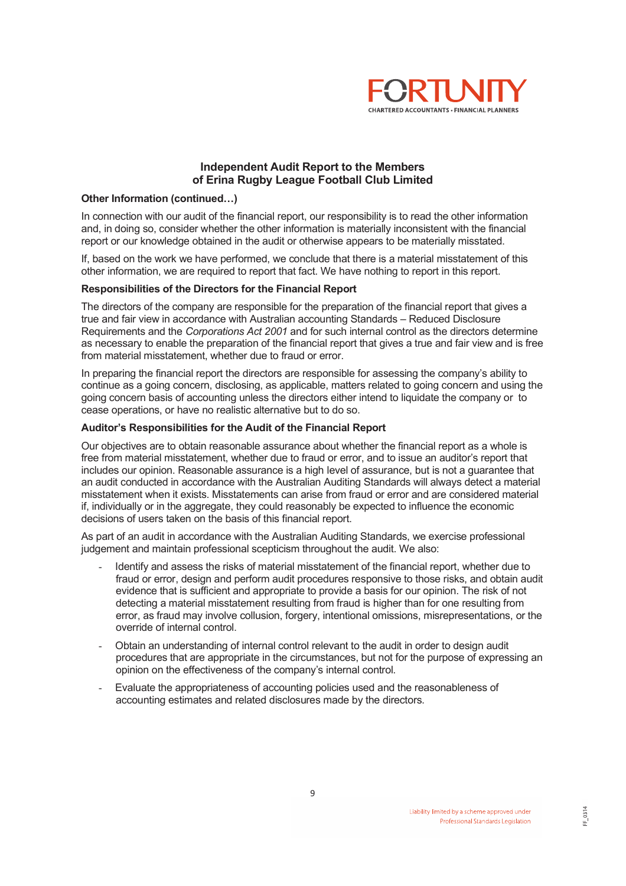

#### Independent Audit Report to the Members of Erina Rugby League Football Club Limited

#### Other Information (continued...)

In connection with our audit of the financial report, our responsibility is to read the other information and, in doing so, consider whether the other information is materially inconsistent with the financial report or our knowledge obtained in the audit or otherwise appears to be materially misstated.

If, based on the work we have performed, we conclude that there is a material misstatement of this other information, we are required to report that fact. We have nothing to report in this report.

#### Responsibilities of the Directors for the Financial Report

The directors of the company are responsible for the preparation of the financial report that gives a true and fair view in accordance with Australian accounting Standards - Reduced Disclosure Requirements and the *Corporations Act 2001* and for such internal control as the directors determine as necessary to enable the preparation of the financial report that gives a true and fair view and is free from material misstatement, whether due to fraud or error.

In preparing the financial report the directors are responsible for assessing the company's ability to continue as a going concern, disclosing, as applicable, matters related to going concern and using the going concern basis of accounting unless the directors either intend to liquidate the company or to cease operations, or have no realistic alternative but to do so.

#### Auditor's Responsibilities for the Audit of the Financial Report

Our objectives are to obtain reasonable assurance about whether the financial report as a whole is free from material misstatement, whether due to fraud or error, and to issue an auditor's report that includes our opinion. Reasonable assurance is a high level of assurance, but is not a guarantee that an audit conducted in accordance with the Australian Auditing Standards will always detect a material misstatement when it exists. Misstatements can arise from fraud or error and are considered material if, individually or in the aggregate, they could reasonably be expected to influence the economic decisions of users taken on the basis of this financial report.

As part of an audit in accordance with the Australian Auditing Standards, we exercise professional judgement and maintain professional scepticism throughout the audit. We also:

- Identify and assess the risks of material misstatement of the financial report, whether due to fraud or error, design and perform audit procedures responsive to those risks, and obtain audit evidence that is sufficient and appropriate to provide a basis for our opinion. The risk of not detecting a material misstatement resulting from fraud is higher than for one resulting from error, as fraud may involve collusion, forgery, intentional omissions, misrepresentations, or the override of internal control.
- Obtain an understanding of internal control relevant to the audit in order to design audit procedures that are appropriate in the circumstances, but not for the purpose of expressing an opinion on the effectiveness of the company's internal control.
- Evaluate the appropriateness of accounting policies used and the reasonableness of accounting estimates and related disclosures made by the directors.

9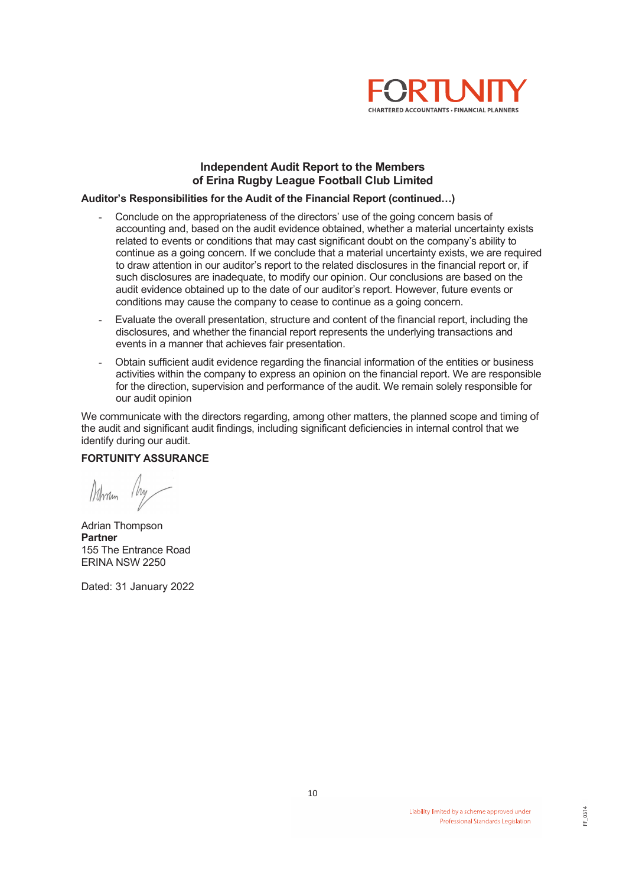

#### Independent Audit Report to the Members of Erina Rugby League Football Club Limited

#### Auditor's Responsibilities for the Audit of the Financial Report (continued...)

- Conclude on the appropriateness of the directors' use of the going concern basis of accounting and, based on the audit evidence obtained, whether a material uncertainty exists related to events or conditions that may cast significant doubt on the companyís ability to continue as a going concern. If we conclude that a material uncertainty exists, we are required to draw attention in our auditor's report to the related disclosures in the financial report or, if such disclosures are inadequate, to modify our opinion. Our conclusions are based on the audit evidence obtained up to the date of our auditor's report. However, future events or conditions may cause the company to cease to continue as a going concern.
- Evaluate the overall presentation, structure and content of the financial report, including the disclosures, and whether the financial report represents the underlying transactions and events in a manner that achieves fair presentation.
- Obtain sufficient audit evidence regarding the financial information of the entities or business activities within the company to express an opinion on the financial report. We are responsible for the direction, supervision and performance of the audit. We remain solely responsible for our audit opinion

We communicate with the directors regarding, among other matters, the planned scope and timing of the audit and significant audit findings, including significant deficiencies in internal control that we identify during our audit.

#### FORTUNITY ASSURANCE

Mohram My

Adrian Thompson Partner 155 The Entrance Road ERINA NSW 2250

Dated: 31 January 2022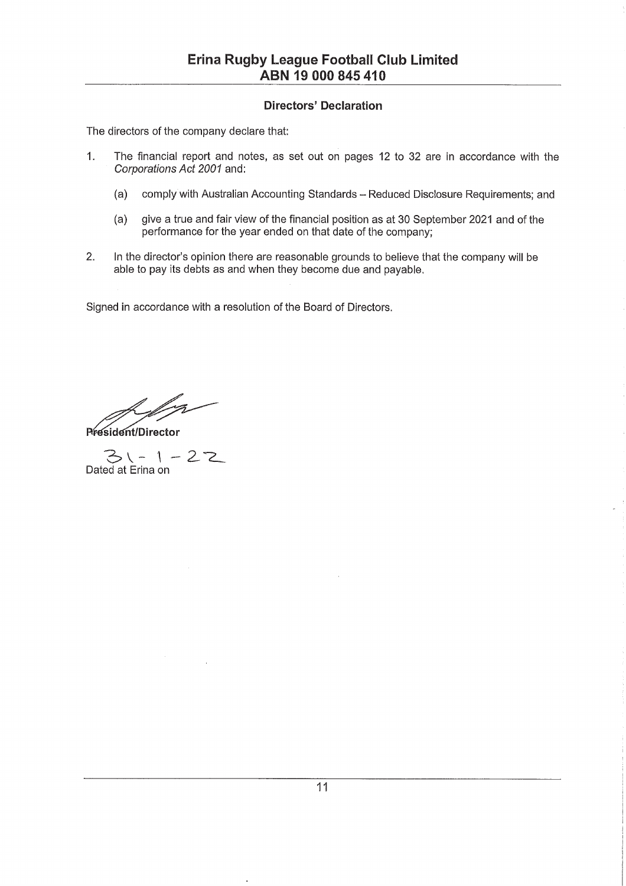# **Directors' Declaration**

The directors of the company declare that:

- The financial report and notes, as set out on pages 12 to 32 are in accordance with the  $\mathbf{1}$ . Corporations Act 2001 and:
	- $(a)$ comply with Australian Accounting Standards - Reduced Disclosure Requirements; and
	- give a true and fair view of the financial position as at 30 September 2021 and of the  $(a)$ performance for the year ended on that date of the company;
- In the director's opinion there are reasonable grounds to believe that the company will be  $2.$ able to pay its debts as and when they become due and payable.

Signed in accordance with a resolution of the Board of Directors.

Yn

President/Director

 $3(-1-22)$ <br>Dated at Erina on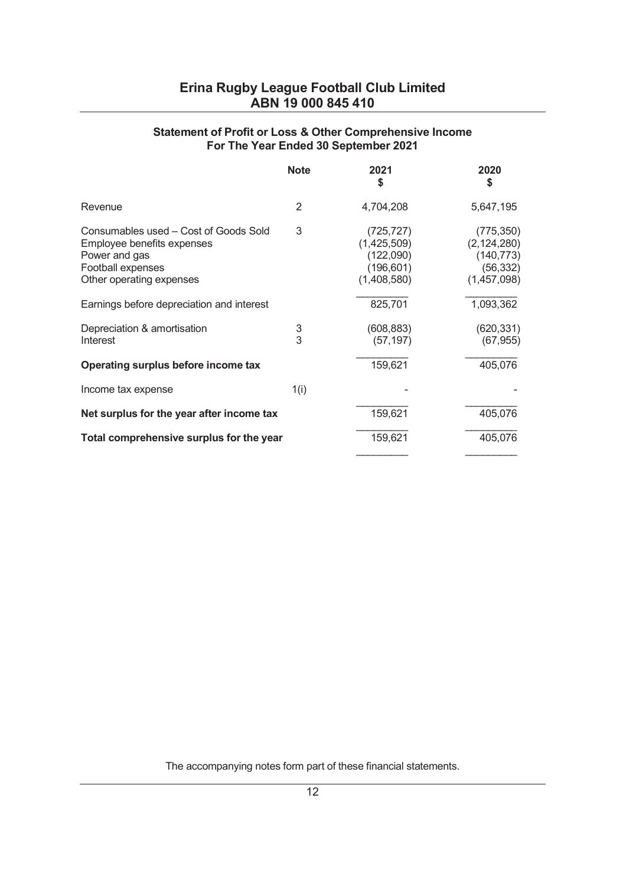## Statement of Profit or Loss & Other Comprehensive Income For The Year Ended 30 September 2021

| <b>Note</b>                               | 2021<br>\$                                                          | 2020<br>\$                                                            |
|-------------------------------------------|---------------------------------------------------------------------|-----------------------------------------------------------------------|
| 2                                         | 4,704,208                                                           | 5,647,195                                                             |
| 3                                         | (725, 727)<br>(1,425,509)<br>(122,090)<br>(196, 601)<br>(1,408,580) | (775, 350)<br>(2, 124, 280)<br>(140, 773)<br>(56, 332)<br>(1,457,098) |
|                                           | 825,701                                                             | 1,093,362                                                             |
| 3<br>3                                    | (608, 883)<br>(57, 197)                                             | (620, 331)<br>(67, 955)                                               |
|                                           | 159,621                                                             | 405,076                                                               |
| 1(i)                                      |                                                                     |                                                                       |
| Net surplus for the year after income tax | 159,621                                                             | 405,076                                                               |
| Total comprehensive surplus for the year  | 159,621                                                             | 405,076                                                               |
|                                           |                                                                     |                                                                       |

The accompanying notes form part of these financial statements.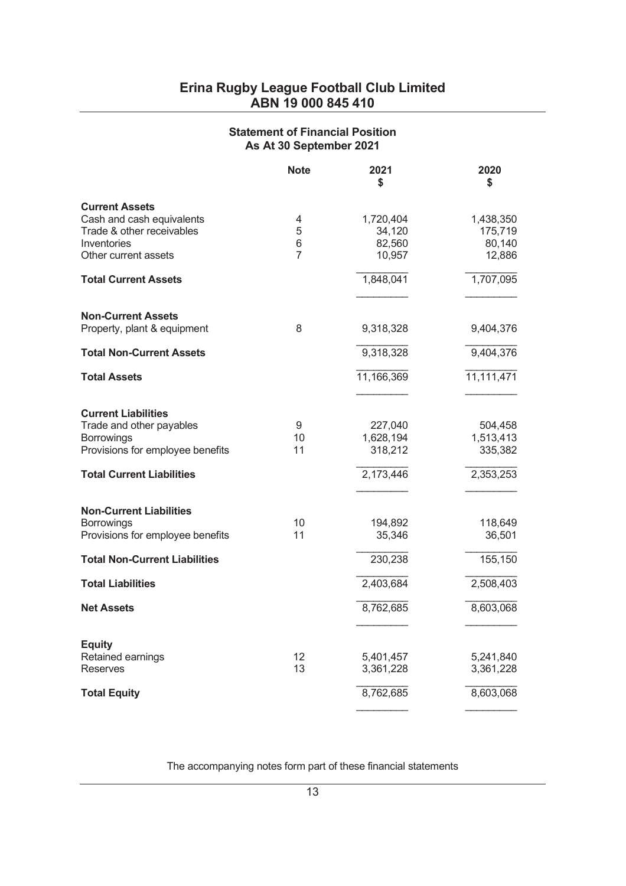# Statement of Financial Position As At 30 September 2021

|                                                                                                                                                     | <b>Note</b>                   | 2021<br>\$                                   | 2020<br>\$                                   |
|-----------------------------------------------------------------------------------------------------------------------------------------------------|-------------------------------|----------------------------------------------|----------------------------------------------|
| <b>Current Assets</b><br>Cash and cash equivalents<br>Trade & other receivables<br>Inventories<br>Other current assets                              | 4<br>5<br>6<br>$\overline{7}$ | 1,720,404<br>34,120<br>82,560<br>10,957      | 1,438,350<br>175,719<br>80,140<br>12,886     |
| <b>Total Current Assets</b>                                                                                                                         |                               | 1,848,041                                    | 1,707,095                                    |
| <b>Non-Current Assets</b><br>Property, plant & equipment                                                                                            | 8                             | 9,318,328                                    | 9,404,376                                    |
| <b>Total Non-Current Assets</b>                                                                                                                     |                               | 9,318,328                                    | 9,404,376                                    |
| <b>Total Assets</b>                                                                                                                                 |                               | 11,166,369                                   | 11, 111, 471                                 |
| <b>Current Liabilities</b><br>Trade and other payables<br><b>Borrowings</b><br>Provisions for employee benefits<br><b>Total Current Liabilities</b> | $9\,$<br>10<br>11             | 227,040<br>1,628,194<br>318,212<br>2,173,446 | 504,458<br>1,513,413<br>335,382<br>2,353,253 |
| <b>Non-Current Liabilities</b><br><b>Borrowings</b><br>Provisions for employee benefits                                                             | 10<br>11                      | 194,892<br>35,346                            | 118,649<br>36,501                            |
| <b>Total Non-Current Liabilities</b>                                                                                                                |                               | 230,238                                      | 155,150                                      |
| <b>Total Liabilities</b>                                                                                                                            |                               | 2,403,684                                    | 2,508,403                                    |
| <b>Net Assets</b>                                                                                                                                   |                               | 8,762,685                                    | 8,603,068                                    |
| <b>Equity</b><br>Retained earnings<br>Reserves                                                                                                      | 12<br>13                      | 5,401,457<br>3,361,228                       | 5,241,840<br>3,361,228                       |
| <b>Total Equity</b>                                                                                                                                 |                               | 8,762,685                                    | 8,603,068                                    |
|                                                                                                                                                     |                               |                                              |                                              |

The accompanying notes form part of these financial statements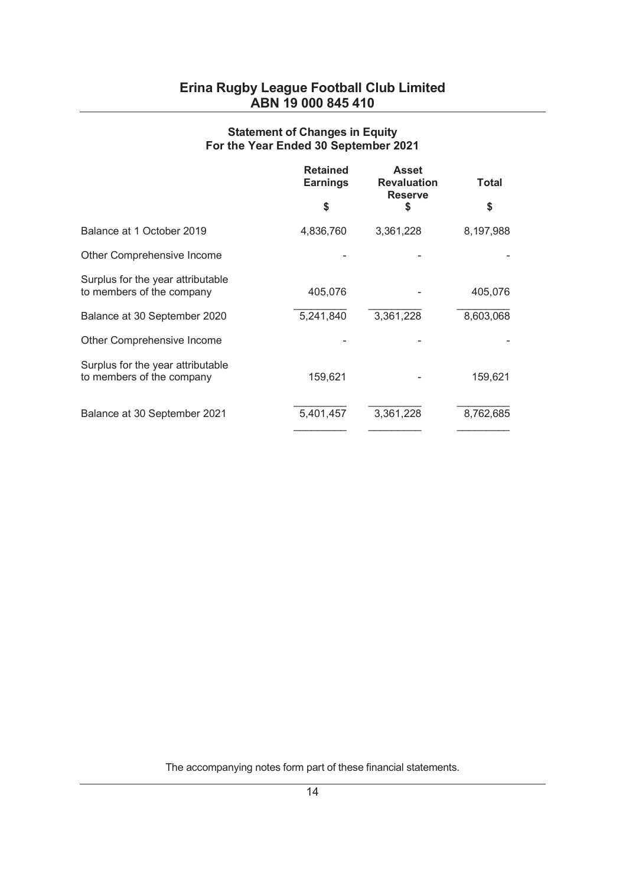## Statement of Changes in Equity For the Year Ended 30 September 2021

|                                                                | <b>Retained</b><br><b>Earnings</b> | <b>Asset</b><br><b>Revaluation</b><br><b>Reserve</b> | Total     |  |
|----------------------------------------------------------------|------------------------------------|------------------------------------------------------|-----------|--|
|                                                                | \$                                 | \$                                                   | \$        |  |
| Balance at 1 October 2019                                      | 4,836,760                          | 3,361,228                                            | 8,197,988 |  |
| Other Comprehensive Income                                     |                                    |                                                      |           |  |
| Surplus for the year attributable<br>to members of the company | 405,076                            |                                                      | 405,076   |  |
| Balance at 30 September 2020                                   | 5,241,840                          | 3,361,228                                            | 8,603,068 |  |
| Other Comprehensive Income                                     |                                    |                                                      |           |  |
| Surplus for the year attributable<br>to members of the company | 159,621                            |                                                      | 159,621   |  |
| Balance at 30 September 2021                                   | 5,401,457                          | 3,361,228                                            | 8,762,685 |  |

The accompanying notes form part of these financial statements.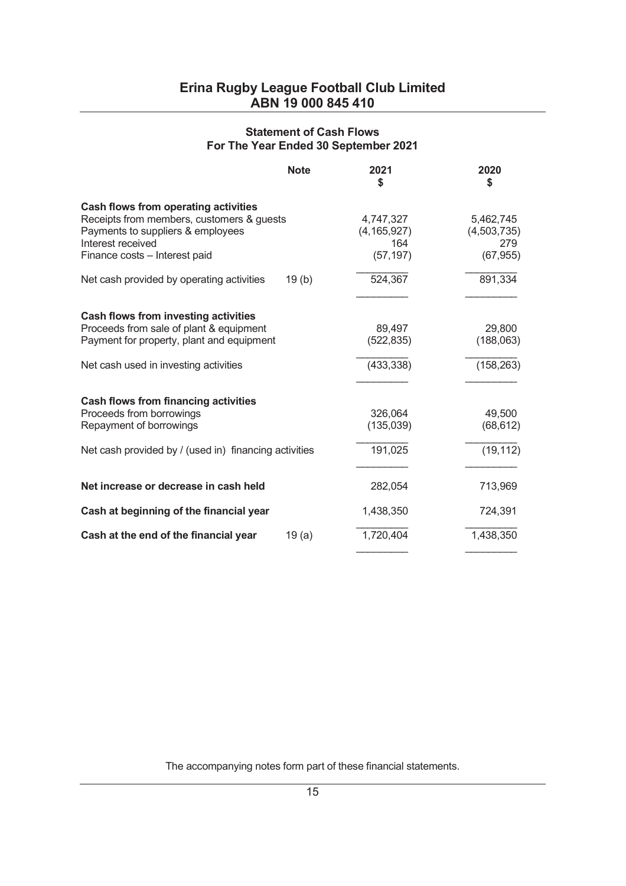#### Statement of Cash Flows For The Year Ended 30 September 2021

| <b>Note</b>                                                             | 2021<br>\$    | 2020<br>\$  |
|-------------------------------------------------------------------------|---------------|-------------|
| Cash flows from operating activities                                    |               |             |
| Receipts from members, customers & guests                               | 4,747,327     | 5,462,745   |
| Payments to suppliers & employees                                       | (4, 165, 927) | (4,503,735) |
| Interest received                                                       | 164           | 279         |
| Finance costs - Interest paid                                           | (57, 197)     | (67, 955)   |
| Net cash provided by operating activities<br>19 <sub>(b)</sub>          | 524,367       | 891,334     |
|                                                                         |               |             |
| Cash flows from investing activities                                    |               |             |
| Proceeds from sale of plant & equipment                                 | 89,497        | 29,800      |
| Payment for property, plant and equipment                               | (522, 835)    | (188,063)   |
| Net cash used in investing activities                                   | (433, 338)    | (158, 263)  |
|                                                                         |               |             |
| <b>Cash flows from financing activities</b><br>Proceeds from borrowings | 326,064       | 49,500      |
| Repayment of borrowings                                                 | (135, 039)    | (68, 612)   |
|                                                                         |               |             |
| Net cash provided by / (used in) financing activities                   | 191,025       | (19, 112)   |
|                                                                         |               |             |
| Net increase or decrease in cash held                                   | 282,054       | 713,969     |
| Cash at beginning of the financial year                                 | 1,438,350     | 724,391     |
| 19(a)<br>Cash at the end of the financial year                          | 1,720,404     | 1,438,350   |
|                                                                         |               |             |

The accompanying notes form part of these financial statements.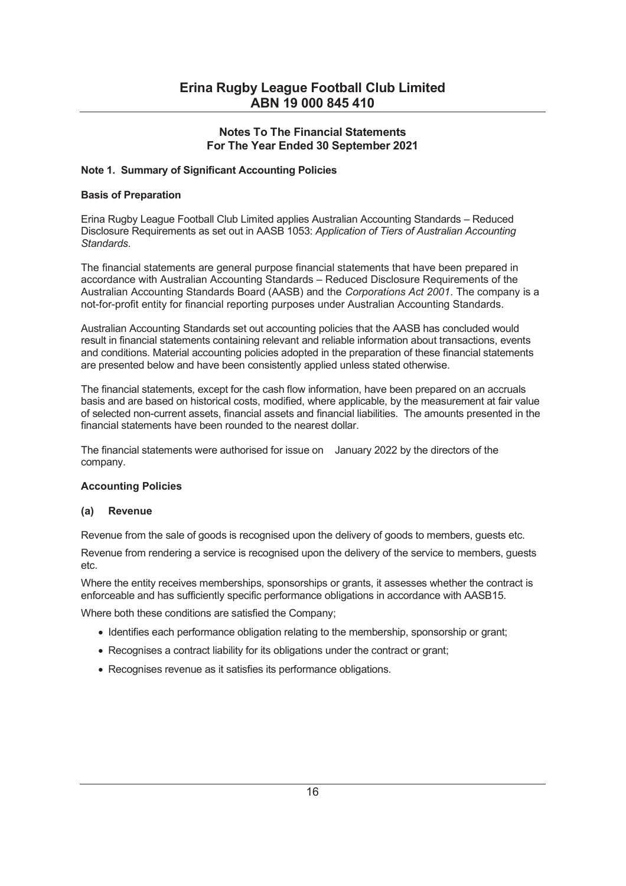#### Note 1. Summary of Significant Accounting Policies

#### Basis of Preparation

Erina Rugby League Football Club Limited applies Australian Accounting Standards – Reduced Disclosure Requirements as set out in AASB 1053: Application of Tiers of Australian Accounting Standards.

The financial statements are general purpose financial statements that have been prepared in accordance with Australian Accounting Standards – Reduced Disclosure Requirements of the Australian Accounting Standards Board (AASB) and the Corporations Act 2001. The company is a not-for-profit entity for financial reporting purposes under Australian Accounting Standards.

Australian Accounting Standards set out accounting policies that the AASB has concluded would result in financial statements containing relevant and reliable information about transactions, events and conditions. Material accounting policies adopted in the preparation of these financial statements are presented below and have been consistently applied unless stated otherwise.

The financial statements, except for the cash flow information, have been prepared on an accruals basis and are based on historical costs, modified, where applicable, by the measurement at fair value of selected non-current assets, financial assets and financial liabilities. The amounts presented in the financial statements have been rounded to the nearest dollar.

The financial statements were authorised for issue on January 2022 by the directors of the company.

#### Accounting Policies

#### (a) Revenue

Revenue from the sale of goods is recognised upon the delivery of goods to members, guests etc.

Revenue from rendering a service is recognised upon the delivery of the service to members, guests  $_{\text{atc}}$ 

Where the entity receives memberships, sponsorships or grants, it assesses whether the contract is enforceable and has sufficiently specific performance obligations in accordance with AASB15.

Where both these conditions are satisfied the Company;

- · Identifies each performance obligation relating to the membership, sponsorship or grant;
- · Recognises a contract liability for its obligations under the contract or grant;
- · Recognises revenue as it satisfies its performance obligations.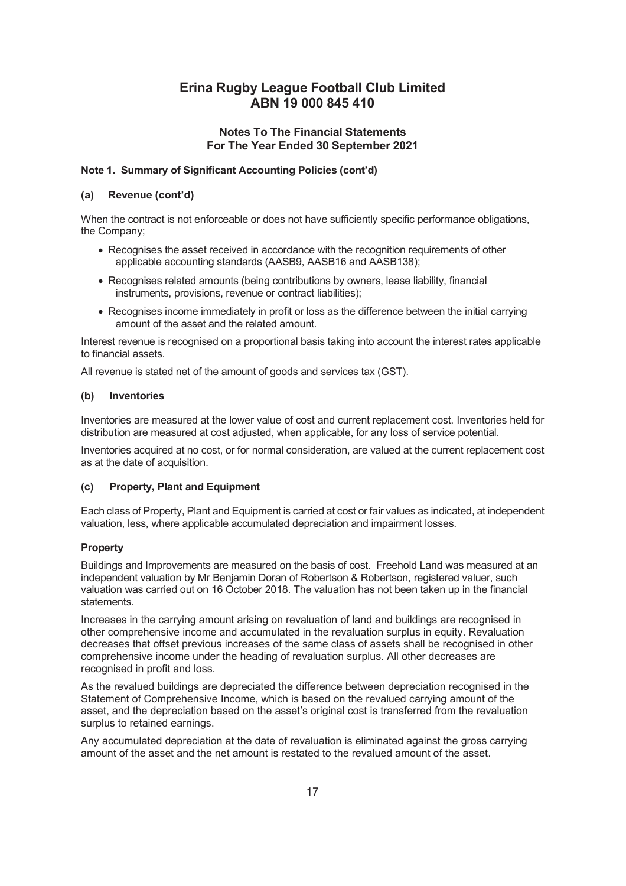#### Note 1. Summary of Significant Accounting Policies (cont'd)

#### (a) Revenue (cont'd)

When the contract is not enforceable or does not have sufficiently specific performance obligations, the Company;

- · Recognises the asset received in accordance with the recognition requirements of other applicable accounting standards (AASB9, AASB16 and AASB138);
- · Recognises related amounts (being contributions by owners, lease liability, financial instruments, provisions, revenue or contract liabilities);
- · Recognises income immediately in profit or loss as the difference between the initial carrying amount of the asset and the related amount.

Interest revenue is recognised on a proportional basis taking into account the interest rates applicable to financial assets.

All revenue is stated net of the amount of goods and services tax (GST).

#### (b) Inventories

Inventories are measured at the lower value of cost and current replacement cost. Inventories held for distribution are measured at cost adjusted, when applicable, for any loss of service potential.

Inventories acquired at no cost, or for normal consideration, are valued at the current replacement cost as at the date of acquisition.

#### (c) Property, Plant and Equipment

Each class of Property, Plant and Equipment is carried at cost or fair values as indicated, at independent valuation, less, where applicable accumulated depreciation and impairment losses.

## Property

Buildings and Improvements are measured on the basis of cost. Freehold Land was measured at an independent valuation by Mr Benjamin Doran of Robertson & Robertson, registered valuer, such valuation was carried out on 16 October 2018. The valuation has not been taken up in the financial statements.

Increases in the carrying amount arising on revaluation of land and buildings are recognised in other comprehensive income and accumulated in the revaluation surplus in equity. Revaluation decreases that offset previous increases of the same class of assets shall be recognised in other comprehensive income under the heading of revaluation surplus. All other decreases are recognised in profit and loss.

As the revalued buildings are depreciated the difference between depreciation recognised in the Statement of Comprehensive Income, which is based on the revalued carrying amount of the asset, and the depreciation based on the assetís original cost is transferred from the revaluation surplus to retained earnings.

Any accumulated depreciation at the date of revaluation is eliminated against the gross carrying amount of the asset and the net amount is restated to the revalued amount of the asset.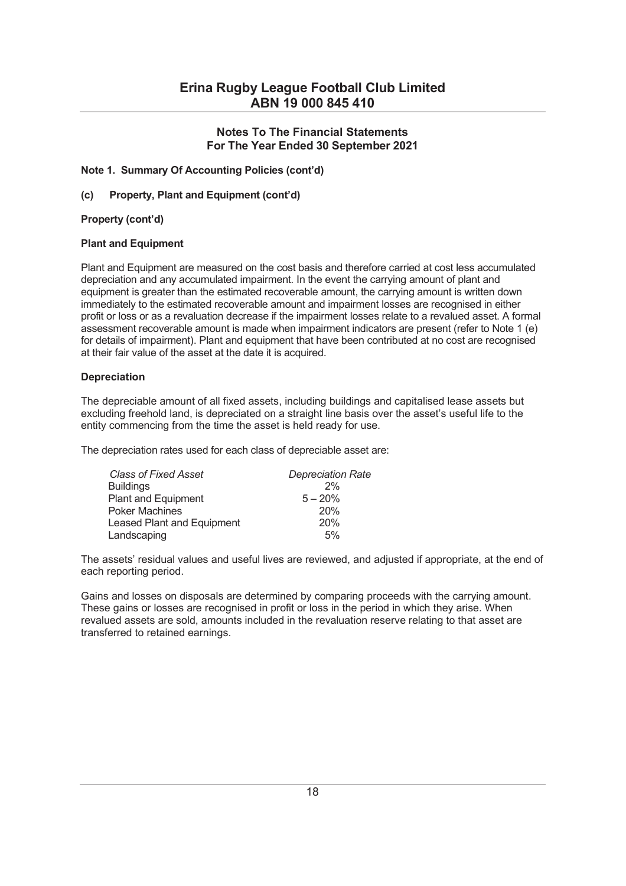#### Note 1. Summary Of Accounting Policies (cont'd)

(c) Property, Plant and Equipment (cont'd)

#### Property (cont'd)

#### Plant and Equipment

Plant and Equipment are measured on the cost basis and therefore carried at cost less accumulated depreciation and any accumulated impairment. In the event the carrying amount of plant and equipment is greater than the estimated recoverable amount, the carrying amount is written down immediately to the estimated recoverable amount and impairment losses are recognised in either profit or loss or as a revaluation decrease if the impairment losses relate to a revalued asset. A formal assessment recoverable amount is made when impairment indicators are present (refer to Note 1 (e) for details of impairment). Plant and equipment that have been contributed at no cost are recognised at their fair value of the asset at the date it is acquired.

#### Depreciation

The depreciable amount of all fixed assets, including buildings and capitalised lease assets but excluding freehold land, is depreciated on a straight line basis over the asset's useful life to the entity commencing from the time the asset is held ready for use.

The depreciation rates used for each class of depreciable asset are:

| <b>Class of Fixed Asset</b>       | <b>Depreciation Rate</b> |
|-----------------------------------|--------------------------|
| Buildings                         | 2%                       |
| <b>Plant and Equipment</b>        | $5 - 20%$                |
| <b>Poker Machines</b>             | 20%                      |
| <b>Leased Plant and Equipment</b> | 20%                      |
| Landscaping                       | 5%                       |
|                                   |                          |

The assets' residual values and useful lives are reviewed, and adjusted if appropriate, at the end of each reporting period.

Gains and losses on disposals are determined by comparing proceeds with the carrying amount. These gains or losses are recognised in profit or loss in the period in which they arise. When revalued assets are sold, amounts included in the revaluation reserve relating to that asset are transferred to retained earnings.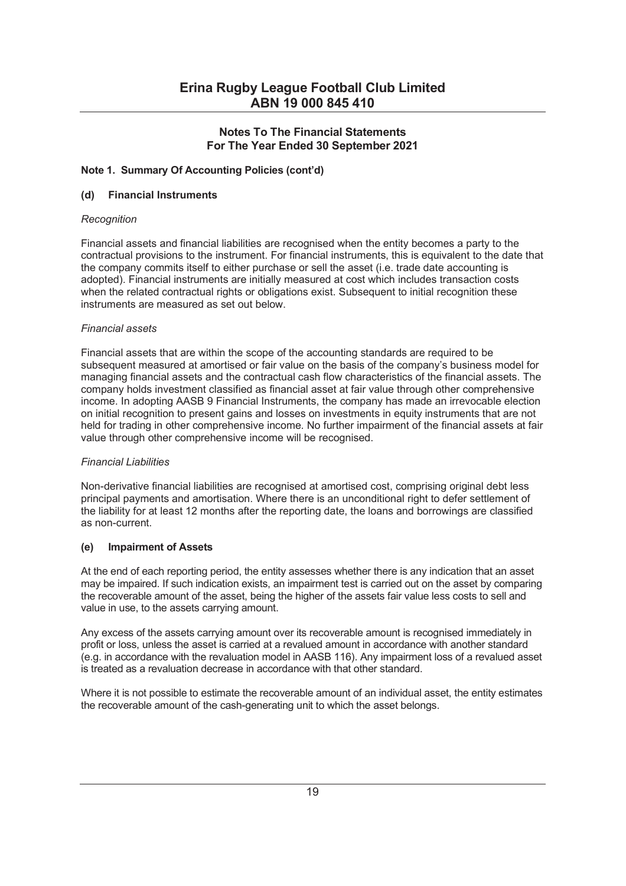#### Note 1. Summary Of Accounting Policies (cont'd)

#### (d) Financial Instruments

#### **Recognition**

Financial assets and financial liabilities are recognised when the entity becomes a party to the contractual provisions to the instrument. For financial instruments, this is equivalent to the date that the company commits itself to either purchase or sell the asset (i.e. trade date accounting is adopted). Financial instruments are initially measured at cost which includes transaction costs when the related contractual rights or obligations exist. Subsequent to initial recognition these instruments are measured as set out below.

#### Financial assets

Financial assets that are within the scope of the accounting standards are required to be subsequent measured at amortised or fair value on the basis of the company's business model for managing financial assets and the contractual cash flow characteristics of the financial assets. The company holds investment classified as financial asset at fair value through other comprehensive income. In adopting AASB 9 Financial Instruments, the company has made an irrevocable election on initial recognition to present gains and losses on investments in equity instruments that are not held for trading in other comprehensive income. No further impairment of the financial assets at fair value through other comprehensive income will be recognised.

#### Financial Liabilities

Non-derivative financial liabilities are recognised at amortised cost, comprising original debt less principal payments and amortisation. Where there is an unconditional right to defer settlement of the liability for at least 12 months after the reporting date, the loans and borrowings are classified as non-current.

#### (e) Impairment of Assets

At the end of each reporting period, the entity assesses whether there is any indication that an asset may be impaired. If such indication exists, an impairment test is carried out on the asset by comparing the recoverable amount of the asset, being the higher of the assets fair value less costs to sell and value in use, to the assets carrying amount.

Any excess of the assets carrying amount over its recoverable amount is recognised immediately in profit or loss, unless the asset is carried at a revalued amount in accordance with another standard (e.g. in accordance with the revaluation model in AASB 116). Any impairment loss of a revalued asset is treated as a revaluation decrease in accordance with that other standard.

Where it is not possible to estimate the recoverable amount of an individual asset, the entity estimates the recoverable amount of the cash-generating unit to which the asset belongs.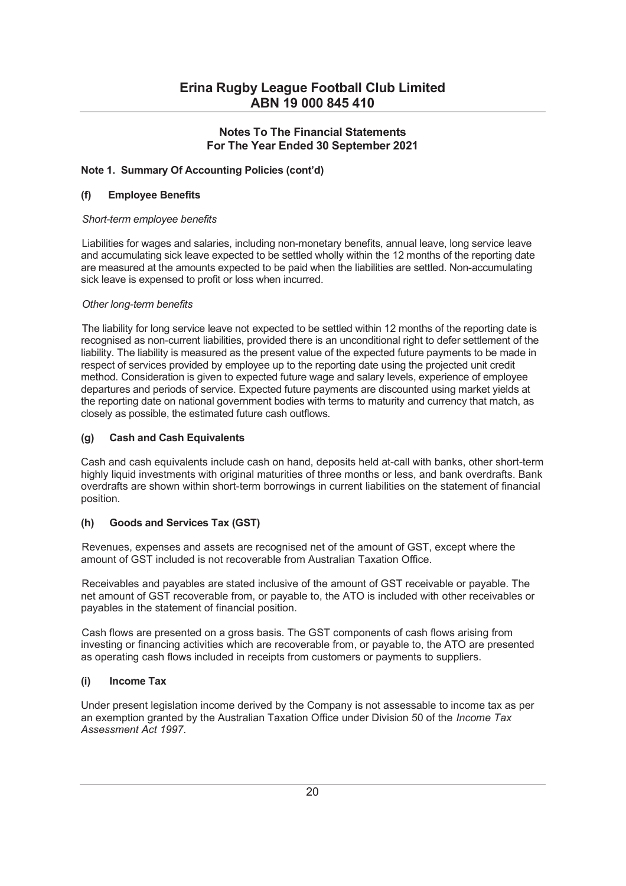#### Note 1. Summary Of Accounting Policies (cont'd)

#### (f) Employee Benefits

#### Short-term employee benefits

Liabilities for wages and salaries, including non-monetary benefits, annual leave, long service leave and accumulating sick leave expected to be settled wholly within the 12 months of the reporting date are measured at the amounts expected to be paid when the liabilities are settled. Non-accumulating sick leave is expensed to profit or loss when incurred.

#### Other long-term benefits

The liability for long service leave not expected to be settled within 12 months of the reporting date is recognised as non-current liabilities, provided there is an unconditional right to defer settlement of the liability. The liability is measured as the present value of the expected future payments to be made in respect of services provided by employee up to the reporting date using the projected unit credit method. Consideration is given to expected future wage and salary levels, experience of employee departures and periods of service. Expected future payments are discounted using market yields at the reporting date on national government bodies with terms to maturity and currency that match, as closely as possible, the estimated future cash outflows.

#### (g) Cash and Cash Equivalents

Cash and cash equivalents include cash on hand, deposits held at-call with banks, other short-term highly liquid investments with original maturities of three months or less, and bank overdrafts. Bank overdrafts are shown within short-term borrowings in current liabilities on the statement of financial position.

## (h) Goods and Services Tax (GST)

Revenues, expenses and assets are recognised net of the amount of GST, except where the amount of GST included is not recoverable from Australian Taxation Office.

Receivables and payables are stated inclusive of the amount of GST receivable or payable. The net amount of GST recoverable from, or payable to, the ATO is included with other receivables or payables in the statement of financial position.

Cash flows are presented on a gross basis. The GST components of cash flows arising from investing or financing activities which are recoverable from, or payable to, the ATO are presented as operating cash flows included in receipts from customers or payments to suppliers.

## (i) Income Tax

Under present legislation income derived by the Company is not assessable to income tax as per an exemption granted by the Australian Taxation Office under Division 50 of the *Income Tax* Assessment Act 1997.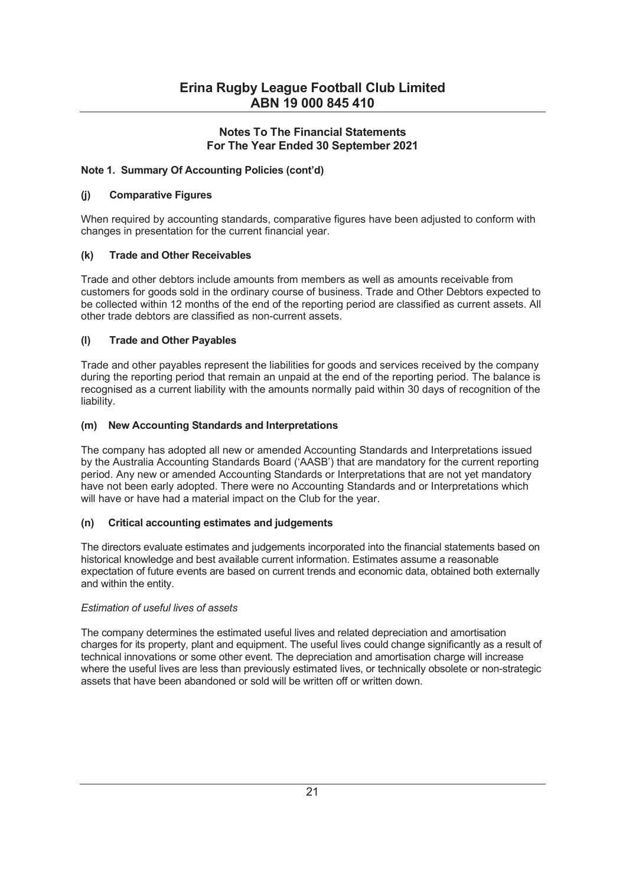#### Note 1. Summary Of Accounting Policies (cont'd)

#### (j) Comparative Figures

When required by accounting standards, comparative figures have been adjusted to conform with changes in presentation for the current financial year.

#### (k) Trade and Other Receivables

Trade and other debtors include amounts from members as well as amounts receivable from customers for goods sold in the ordinary course of business. Trade and Other Debtors expected to be collected within 12 months of the end of the reporting period are classified as current assets. All other trade debtors are classified as non-current assets.

#### (l) Trade and Other Payables

Trade and other payables represent the liabilities for goods and services received by the company during the reporting period that remain an unpaid at the end of the reporting period. The balance is recognised as a current liability with the amounts normally paid within 30 days of recognition of the liability.

#### (m) New Accounting Standards and Interpretations

The company has adopted all new or amended Accounting Standards and Interpretations issued by the Australia Accounting Standards Board ('AASB') that are mandatory for the current reporting period. Any new or amended Accounting Standards or Interpretations that are not yet mandatory have not been early adopted. There were no Accounting Standards and or Interpretations which will have or have had a material impact on the Club for the year.

#### (n) Critical accounting estimates and judgements

The directors evaluate estimates and judgements incorporated into the financial statements based on historical knowledge and best available current information. Estimates assume a reasonable expectation of future events are based on current trends and economic data, obtained both externally and within the entity.

#### Estimation of useful lives of assets

The company determines the estimated useful lives and related depreciation and amortisation charges for its property, plant and equipment. The useful lives could change significantly as a result of technical innovations or some other event. The depreciation and amortisation charge will increase where the useful lives are less than previously estimated lives, or technically obsolete or non-strategic assets that have been abandoned or sold will be written off or written down.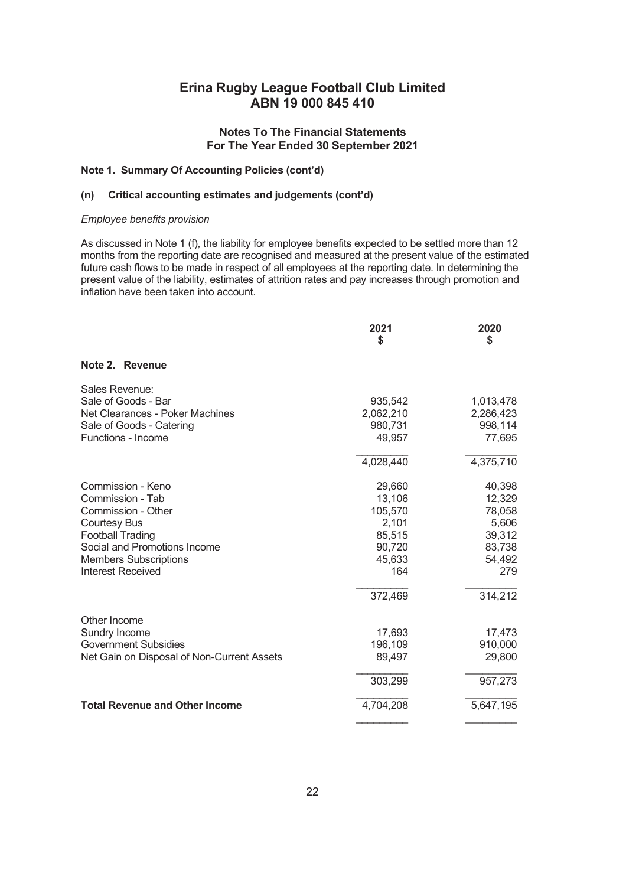#### Note 1. Summary Of Accounting Policies (cont'd)

#### (n) Critical accounting estimates and judgements (cont'd)

#### Employee benefits provision

As discussed in Note 1 (f), the liability for employee benefits expected to be settled more than 12 months from the reporting date are recognised and measured at the present value of the estimated future cash flows to be made in respect of all employees at the reporting date. In determining the present value of the liability, estimates of attrition rates and pay increases through promotion and inflation have been taken into account.

|                                                | 2021<br>\$ | 2020<br>\$ |
|------------------------------------------------|------------|------------|
| Note 2. Revenue                                |            |            |
| Sales Revenue:                                 |            |            |
| Sale of Goods - Bar                            | 935,542    | 1,013,478  |
| Net Clearances - Poker Machines                | 2,062,210  | 2,286,423  |
| Sale of Goods - Catering<br>Functions - Income | 980,731    | 998,114    |
|                                                | 49,957     | 77,695     |
|                                                | 4,028,440  | 4,375,710  |
| Commission - Keno                              | 29,660     | 40,398     |
| Commission - Tab                               | 13,106     | 12,329     |
| Commission - Other                             | 105,570    | 78,058     |
| <b>Courtesy Bus</b>                            | 2,101      | 5,606      |
| <b>Football Trading</b>                        | 85,515     | 39,312     |
| Social and Promotions Income                   | 90,720     | 83,738     |
| <b>Members Subscriptions</b>                   | 45,633     | 54,492     |
| <b>Interest Received</b>                       | 164        | 279        |
|                                                | 372,469    | 314,212    |
| Other Income                                   |            |            |
| Sundry Income                                  | 17,693     | 17,473     |
| <b>Government Subsidies</b>                    | 196,109    | 910,000    |
| Net Gain on Disposal of Non-Current Assets     | 89,497     | 29,800     |
|                                                | 303,299    | 957,273    |
| <b>Total Revenue and Other Income</b>          | 4,704,208  | 5,647,195  |
|                                                |            |            |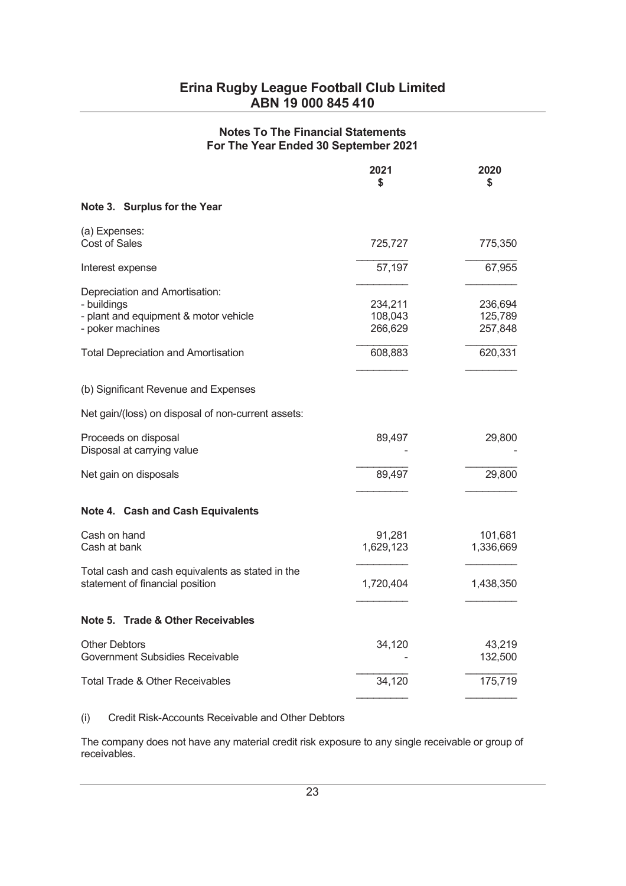## Notes To The Financial Statements For The Year Ended 30 September 2021

|                                                                                                            | 2021<br>\$                    | 2020<br>\$                    |
|------------------------------------------------------------------------------------------------------------|-------------------------------|-------------------------------|
| Note 3. Surplus for the Year                                                                               |                               |                               |
| (a) Expenses:<br>Cost of Sales                                                                             | 725,727                       | 775,350                       |
| Interest expense                                                                                           | 57,197                        | 67,955                        |
| Depreciation and Amortisation:<br>- buildings<br>- plant and equipment & motor vehicle<br>- poker machines | 234,211<br>108,043<br>266,629 | 236,694<br>125,789<br>257,848 |
| <b>Total Depreciation and Amortisation</b>                                                                 | 608,883                       | 620,331                       |
| (b) Significant Revenue and Expenses<br>Net gain/(loss) on disposal of non-current assets:                 |                               |                               |
| Proceeds on disposal<br>Disposal at carrying value                                                         | 89,497                        | 29,800                        |
| Net gain on disposals                                                                                      | 89,497                        | 29,800                        |
| Note 4. Cash and Cash Equivalents                                                                          |                               |                               |
| Cash on hand<br>Cash at bank                                                                               | 91,281<br>1,629,123           | 101,681<br>1,336,669          |
| Total cash and cash equivalents as stated in the<br>statement of financial position                        | 1,720,404                     | 1,438,350                     |
| Note 5. Trade & Other Receivables                                                                          |                               |                               |
| <b>Other Debtors</b><br>Government Subsidies Receivable                                                    | 34,120                        | 43,219<br>132,500             |
| <b>Total Trade &amp; Other Receivables</b>                                                                 | 34,120                        | 175,719                       |
|                                                                                                            |                               |                               |

(i) Credit Risk-Accounts Receivable and Other Debtors

The company does not have any material credit risk exposure to any single receivable or group of receivables.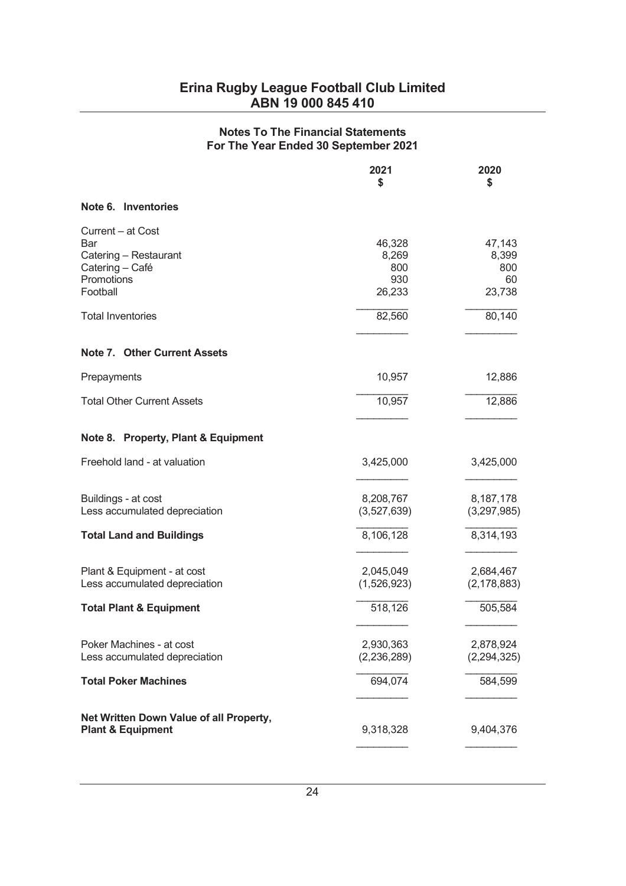## Notes To The Financial Statements For The Year Ended 30 September 2021

|                                         | 2021<br>\$    | 2020<br>\$    |
|-----------------------------------------|---------------|---------------|
| Note 6. Inventories                     |               |               |
| Current - at Cost                       |               |               |
| Bar                                     | 46,328        | 47,143        |
| Catering - Restaurant                   | 8,269         | 8,399         |
| Catering - Café<br>Promotions           | 800<br>930    | 800<br>60     |
| Football                                | 26,233        | 23,738        |
|                                         |               |               |
| <b>Total Inventories</b>                | 82,560        | 80,140        |
| <b>Note 7. Other Current Assets</b>     |               |               |
| Prepayments                             | 10,957        | 12,886        |
| <b>Total Other Current Assets</b>       | 10,957        | 12,886        |
| Note 8. Property, Plant & Equipment     |               |               |
| Freehold land - at valuation            | 3,425,000     | 3,425,000     |
| Buildings - at cost                     | 8,208,767     | 8,187,178     |
| Less accumulated depreciation           | (3,527,639)   | (3,297,985)   |
| <b>Total Land and Buildings</b>         | 8,106,128     | 8,314,193     |
| Plant & Equipment - at cost             | 2,045,049     | 2,684,467     |
| Less accumulated depreciation           | (1,526,923)   | (2, 178, 883) |
| <b>Total Plant &amp; Equipment</b>      | 518,126       | 505,584       |
| Poker Machines - at cost                | 2,930,363     | 2,878,924     |
| Less accumulated depreciation           | (2, 236, 289) | (2, 294, 325) |
| <b>Total Poker Machines</b>             | 694,074       | 584,599       |
| Net Written Down Value of all Property, |               |               |
| <b>Plant &amp; Equipment</b>            | 9,318,328     | 9,404,376     |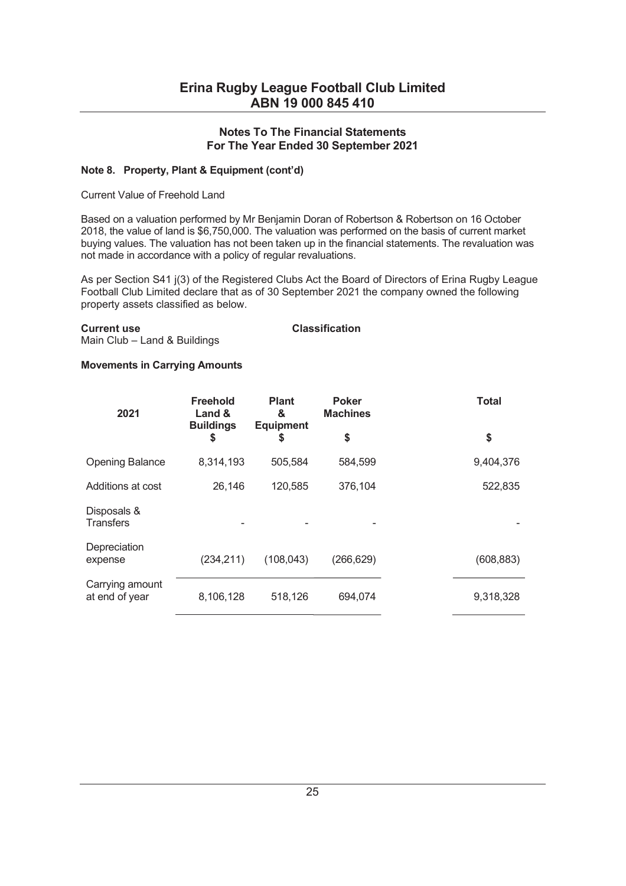#### Note 8. Property, Plant & Equipment (cont'd)

Current Value of Freehold Land

Based on a valuation performed by Mr Benjamin Doran of Robertson & Robertson on 16 October 2018, the value of land is \$6,750,000. The valuation was performed on the basis of current market buying values. The valuation has not been taken up in the financial statements. The revaluation was not made in accordance with a policy of regular revaluations.

As per Section S41 j(3) of the Registered Clubs Act the Board of Directors of Erina Rugby League Football Club Limited declare that as of 30 September 2021 the company owned the following property assets classified as below.

#### Current use Classification

Main Club  $-$  Land & Buildings

#### Movements in Carrying Amounts

| 2021                              | <b>Freehold</b><br>Land &<br><b>Buildings</b> | <b>Plant</b><br>&<br><b>Equipment</b> | <b>Poker</b><br><b>Machines</b> | <b>Total</b> |
|-----------------------------------|-----------------------------------------------|---------------------------------------|---------------------------------|--------------|
|                                   | \$                                            | \$                                    | \$                              | \$           |
| <b>Opening Balance</b>            | 8,314,193                                     | 505,584                               | 584,599                         | 9,404,376    |
| Additions at cost                 | 26,146                                        | 120,585                               | 376,104                         | 522,835      |
| Disposals &<br><b>Transfers</b>   |                                               |                                       |                                 |              |
| Depreciation<br>expense           | (234, 211)                                    | (108, 043)                            | (266, 629)                      | (608, 883)   |
| Carrying amount<br>at end of year | 8,106,128                                     | 518,126                               | 694,074                         | 9,318,328    |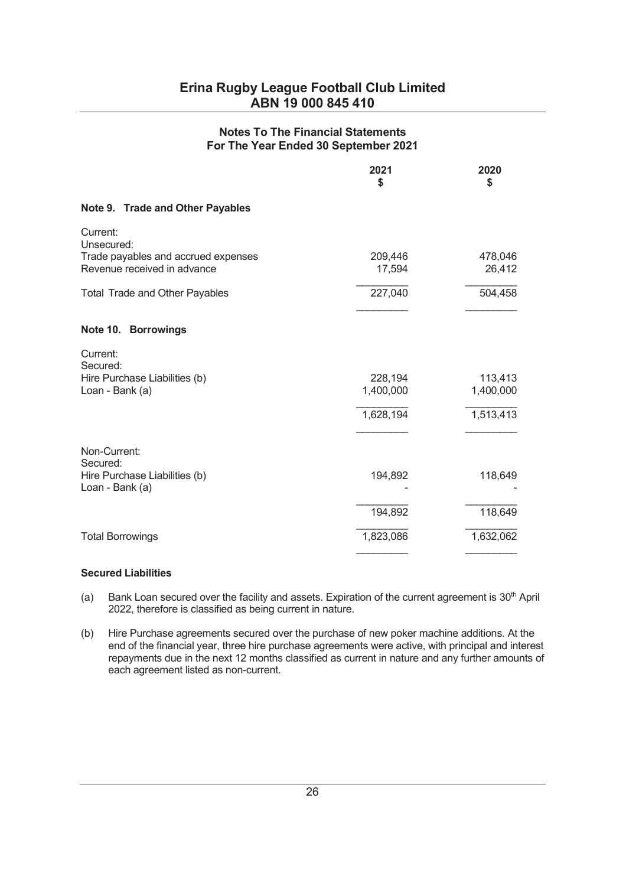#### Notes To The Financial Statements For The Year Ended 30 September 2021

|                                                               | 2021<br>\$           | 2020<br>\$           |
|---------------------------------------------------------------|----------------------|----------------------|
| Note 9. Trade and Other Payables                              |                      |                      |
| Current:<br>Unsecured:<br>Trade payables and accrued expenses | 209,446              | 478,046              |
| Revenue received in advance                                   | 17,594               | 26,412               |
| <b>Total Trade and Other Payables</b>                         | 227,040              | 504,458              |
|                                                               |                      |                      |
| Note 10. Borrowings                                           |                      |                      |
| Current:<br>Secured:                                          |                      |                      |
| Hire Purchase Liabilities (b)<br>Loan - Bank (a)              | 228,194<br>1,400,000 | 113,413<br>1,400,000 |
|                                                               | 1,628,194            | 1,513,413            |
| Non-Current:<br>Secured:                                      |                      |                      |
| Hire Purchase Liabilities (b)<br>Loan - Bank (a)              | 194,892              | 118,649              |
|                                                               | 194,892              | 118,649              |
| <b>Total Borrowings</b>                                       | 1,823,086            | 1,632,062            |
|                                                               |                      |                      |

#### Secured Liabilities

- (a) Bank Loan secured over the facility and assets. Expiration of the current agreement is  $30<sup>th</sup>$  April 2022, therefore is classified as being current in nature.
- (b) Hire Purchase agreements secured over the purchase of new poker machine additions. At the end of the financial year, three hire purchase agreements were active, with principal and interest repayments due in the next 12 months classified as current in nature and any further amounts of each agreement listed as non-current.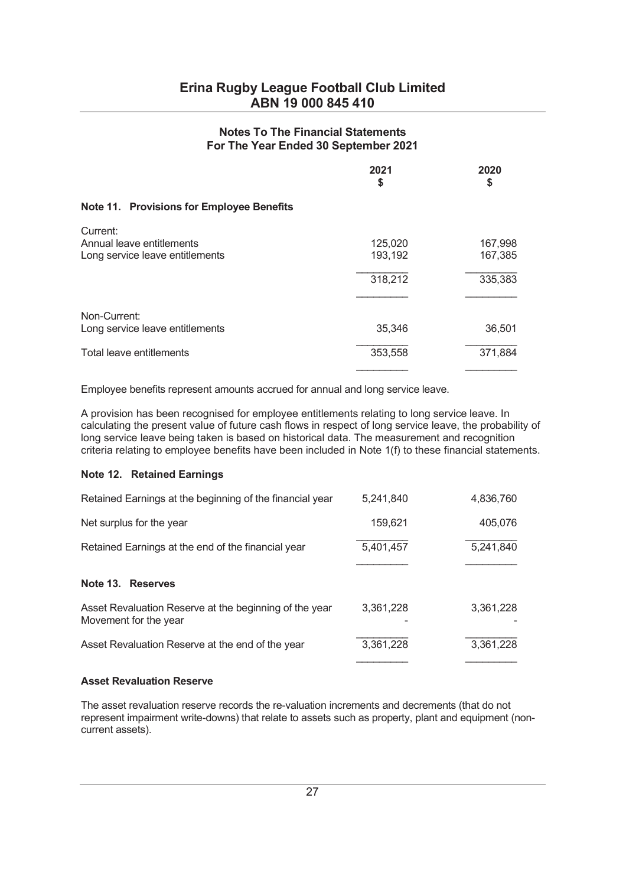## Notes To The Financial Statements For The Year Ended 30 September 2021

|                                                                          | 2021<br>\$                    | 2020<br>\$                    |
|--------------------------------------------------------------------------|-------------------------------|-------------------------------|
| Note 11. Provisions for Employee Benefits                                |                               |                               |
| Current:<br>Annual leave entitlements<br>Long service leave entitlements | 125,020<br>193,192<br>318,212 | 167,998<br>167,385<br>335,383 |
| Non-Current:<br>Long service leave entitlements                          | 35,346                        | 36,501                        |
| Total leave entitlements                                                 | 353,558                       | 371,884                       |

Employee benefits represent amounts accrued for annual and long service leave.

A provision has been recognised for employee entitlements relating to long service leave. In calculating the present value of future cash flows in respect of long service leave, the probability of long service leave being taken is based on historical data. The measurement and recognition criteria relating to employee benefits have been included in Note 1(f) to these financial statements.

#### Note 12. Retained Earnings

| Retained Earnings at the beginning of the financial year                        | 5,241,840 | 4,836,760 |
|---------------------------------------------------------------------------------|-----------|-----------|
| Net surplus for the year                                                        | 159,621   | 405,076   |
| Retained Earnings at the end of the financial year                              | 5,401,457 | 5,241,840 |
|                                                                                 |           |           |
| Note 13. Reserves                                                               |           |           |
| Asset Revaluation Reserve at the beginning of the year<br>Movement for the year | 3,361,228 | 3,361,228 |
| Asset Revaluation Reserve at the end of the year                                | 3,361,228 | 3,361,228 |
|                                                                                 |           |           |

#### Asset Revaluation Reserve

The asset revaluation reserve records the re-valuation increments and decrements (that do not represent impairment write-downs) that relate to assets such as property, plant and equipment (noncurrent assets).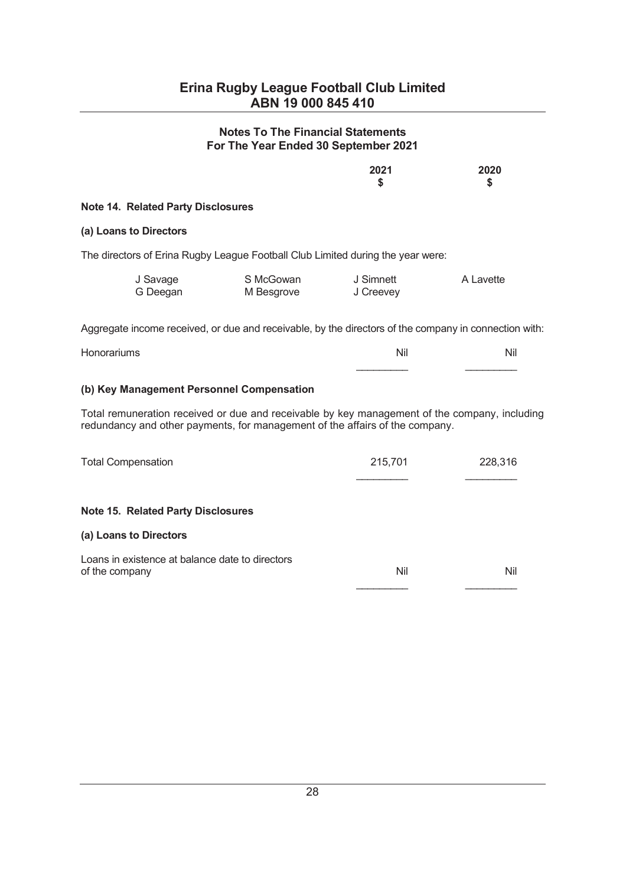## Notes To The Financial Statements For The Year Ended 30 September 2021

|                                                                                                                                                                               |                         | 2021<br>\$             | 2020<br>\$ |  |
|-------------------------------------------------------------------------------------------------------------------------------------------------------------------------------|-------------------------|------------------------|------------|--|
| <b>Note 14. Related Party Disclosures</b>                                                                                                                                     |                         |                        |            |  |
| (a) Loans to Directors                                                                                                                                                        |                         |                        |            |  |
| The directors of Erina Rugby League Football Club Limited during the year were:                                                                                               |                         |                        |            |  |
| J Savage<br>G Deegan                                                                                                                                                          | S McGowan<br>M Besgrove | J Simnett<br>J Creevey | A Lavette  |  |
| Aggregate income received, or due and receivable, by the directors of the company in connection with:                                                                         |                         |                        |            |  |
| Honorariums                                                                                                                                                                   |                         | Nil                    | Nil        |  |
| (b) Key Management Personnel Compensation                                                                                                                                     |                         |                        |            |  |
| Total remuneration received or due and receivable by key management of the company, including<br>redundancy and other payments, for management of the affairs of the company. |                         |                        |            |  |
| <b>Total Compensation</b>                                                                                                                                                     |                         | 215,701                | 228,316    |  |
| <b>Note 15. Related Party Disclosures</b>                                                                                                                                     |                         |                        |            |  |
| (a) Loans to Directors                                                                                                                                                        |                         |                        |            |  |
| Loans in existence at balance date to directors<br>of the company                                                                                                             |                         | Nil                    | Nil        |  |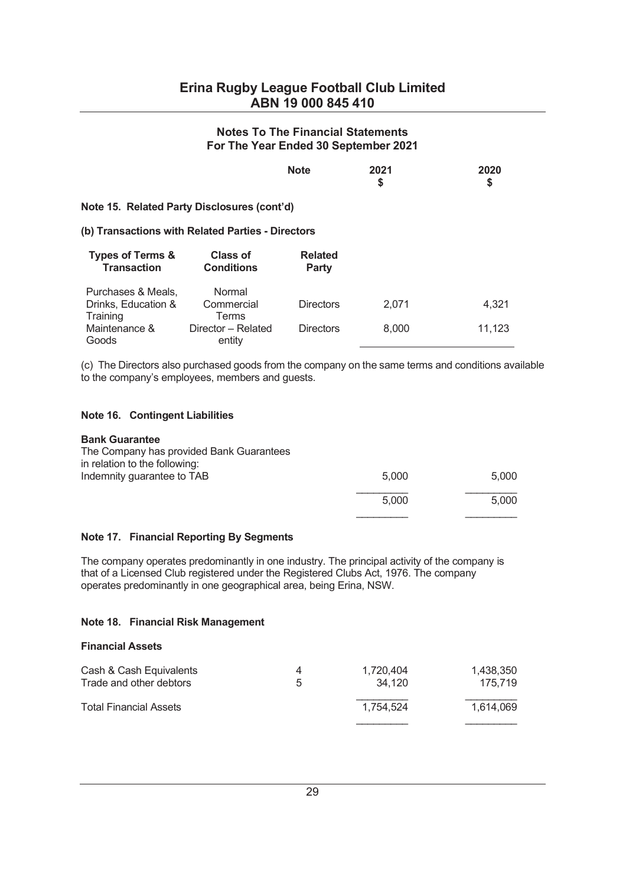## Notes To The Financial Statements For The Year Ended 30 September 2021

|                                                   |                               | <b>Note</b>             | 2021<br>\$ | 2020<br>\$ |
|---------------------------------------------------|-------------------------------|-------------------------|------------|------------|
| Note 15. Related Party Disclosures (cont'd)       |                               |                         |            |            |
| (b) Transactions with Related Parties - Directors |                               |                         |            |            |
| <b>Types of Terms &amp;</b><br><b>Transaction</b> | Class of<br><b>Conditions</b> | <b>Related</b><br>Party |            |            |
| Purchases & Meals.                                | Normal<br>Commercial          | <b>Directors</b>        |            |            |
| Drinks, Education &<br>Training                   | Terms                         |                         | 2,071      | 4,321      |
| Maintenance &<br>Goods                            | Director - Related<br>entity  | <b>Directors</b>        | 8,000      | 11,123     |

(c) The Directors also purchased goods from the company on the same terms and conditions available to the company's employees, members and guests.

#### Note 16. Contingent Liabilities

#### Bank Guarantee The Company has provided Bank Guarantees in relation to the following: Indemnity guarantee to TAB 5,000 5,000  $\frac{1}{2}$  , and the contract of the contract of the contract of the contract of the contract of the contract of the contract of the contract of the contract of the contract of the contract of the contract of the contract  $5,000$  5,000 5,000  $\frac{1}{2}$  , and the contract of the contract of the contract of the contract of the contract of the contract of the contract of the contract of the contract of the contract of the contract of the contract of the contract

#### Note 17. Financial Reporting By Segments

The company operates predominantly in one industry. The principal activity of the company is that of a Licensed Club registered under the Registered Clubs Act, 1976. The company operates predominantly in one geographical area, being Erina, NSW.

#### Note 18. Financial Risk Management

#### Financial Assets

| Cash & Cash Equivalents<br>Trade and other debtors | h. | 1.720.404<br>34.120 | 1.438.350<br>175.719 |
|----------------------------------------------------|----|---------------------|----------------------|
| <b>Total Financial Assets</b>                      |    | 1.754.524           | 1.614.069            |
|                                                    |    |                     |                      |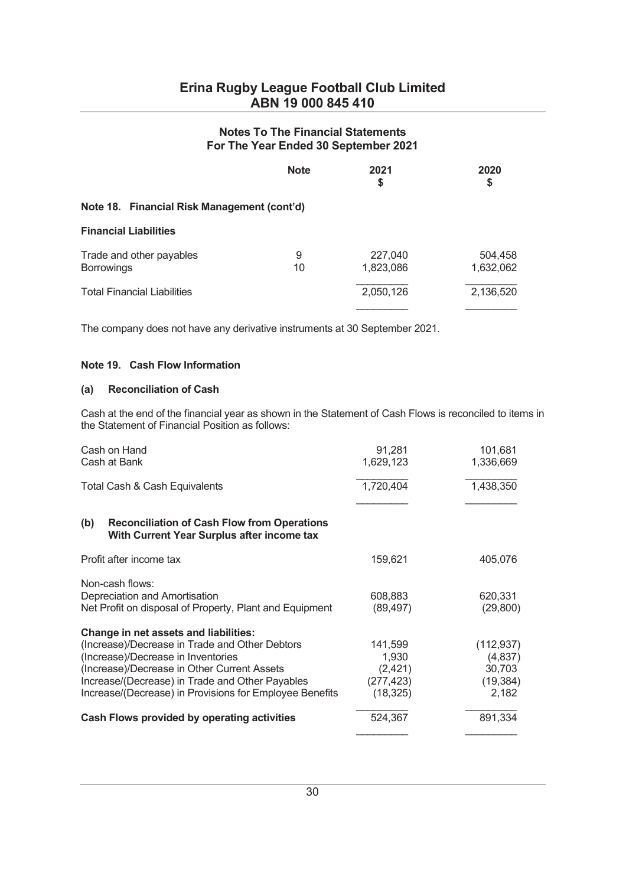# Notes To The Financial Statements For The Year Ended 30 September 2021

|                                               | <b>Note</b> | 2021<br>\$           | 2020<br>\$           |
|-----------------------------------------------|-------------|----------------------|----------------------|
| Note 18. Financial Risk Management (cont'd)   |             |                      |                      |
| <b>Financial Liabilities</b>                  |             |                      |                      |
| Trade and other payables<br><b>Borrowings</b> | 9<br>10     | 227,040<br>1,823,086 | 504,458<br>1,632,062 |
| <b>Total Financial Liabilities</b>            |             | 2,050,126            | 2,136,520            |

The company does not have any derivative instruments at 30 September 2021.

#### Note 19. Cash Flow Information

#### (a) Reconciliation of Cash

Cash at the end of the financial year as shown in the Statement of Cash Flows is reconciled to items in the Statement of Financial Position as follows:

| Cash on Hand<br>Cash at Bank                                                                                                                                                                                                                                                               | 91,281<br>1,629,123                                    | 101,681<br>1,336,669                                  |
|--------------------------------------------------------------------------------------------------------------------------------------------------------------------------------------------------------------------------------------------------------------------------------------------|--------------------------------------------------------|-------------------------------------------------------|
| Total Cash & Cash Equivalents                                                                                                                                                                                                                                                              | 1,720,404                                              | 1,438,350                                             |
| (b)<br><b>Reconciliation of Cash Flow from Operations</b><br>With Current Year Surplus after income tax                                                                                                                                                                                    |                                                        |                                                       |
| Profit after income tax                                                                                                                                                                                                                                                                    | 159,621                                                | 405,076                                               |
| Non-cash flows:<br>Depreciation and Amortisation<br>Net Profit on disposal of Property, Plant and Equipment                                                                                                                                                                                | 608,883<br>(89, 497)                                   | 620,331<br>(29, 800)                                  |
| Change in net assets and liabilities:<br>(Increase)/Decrease in Trade and Other Debtors<br>(Increase)/Decrease in Inventories<br>(Increase)/Decrease in Other Current Assets<br>Increase/(Decrease) in Trade and Other Payables<br>Increase/(Decrease) in Provisions for Employee Benefits | 141,599<br>1,930<br>(2,421)<br>(277, 423)<br>(18, 325) | (112, 937)<br>(4,837)<br>30,703<br>(19, 384)<br>2,182 |
| Cash Flows provided by operating activities                                                                                                                                                                                                                                                | 524,367                                                | 891,334                                               |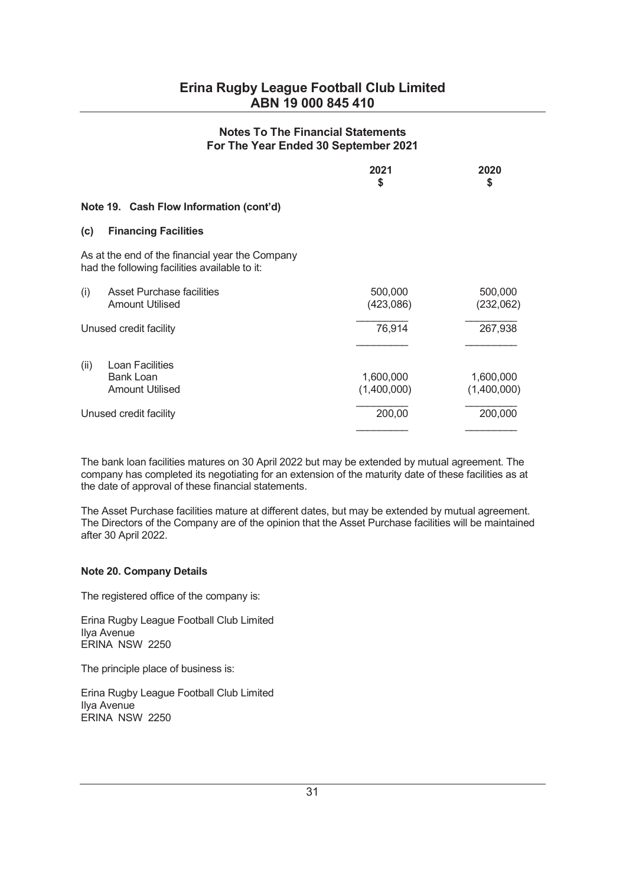#### Notes To The Financial Statements For The Year Ended 30 September 2021

|      |                                                                                                  | 2021<br>\$               | 2020<br>\$               |
|------|--------------------------------------------------------------------------------------------------|--------------------------|--------------------------|
|      | Note 19. Cash Flow Information (cont'd)                                                          |                          |                          |
| (c)  | <b>Financing Facilities</b>                                                                      |                          |                          |
|      | As at the end of the financial year the Company<br>had the following facilities available to it: |                          |                          |
| (i)  | Asset Purchase facilities<br><b>Amount Utilised</b>                                              | 500,000<br>(423,086)     | 500,000<br>(232,062)     |
|      | Unused credit facility                                                                           | 76,914                   | 267,938                  |
| (ii) | Loan Facilities<br>Bank Loan<br><b>Amount Utilised</b>                                           | 1,600,000<br>(1,400,000) | 1,600,000<br>(1,400,000) |
|      | Unused credit facility                                                                           | 200,00                   | 200,000                  |
|      |                                                                                                  |                          |                          |

The bank loan facilities matures on 30 April 2022 but may be extended by mutual agreement. The company has completed its negotiating for an extension of the maturity date of these facilities as at the date of approval of these financial statements.

The Asset Purchase facilities mature at different dates, but may be extended by mutual agreement. The Directors of the Company are of the opinion that the Asset Purchase facilities will be maintained after 30 April 2022.

#### Note 20. Company Details

The registered office of the company is:

Erina Rugby League Football Club Limited Ilya Avenue ERINA NSW 2250

The principle place of business is:

Erina Rugby League Football Club Limited Ilya Avenue ERINA NSW 2250